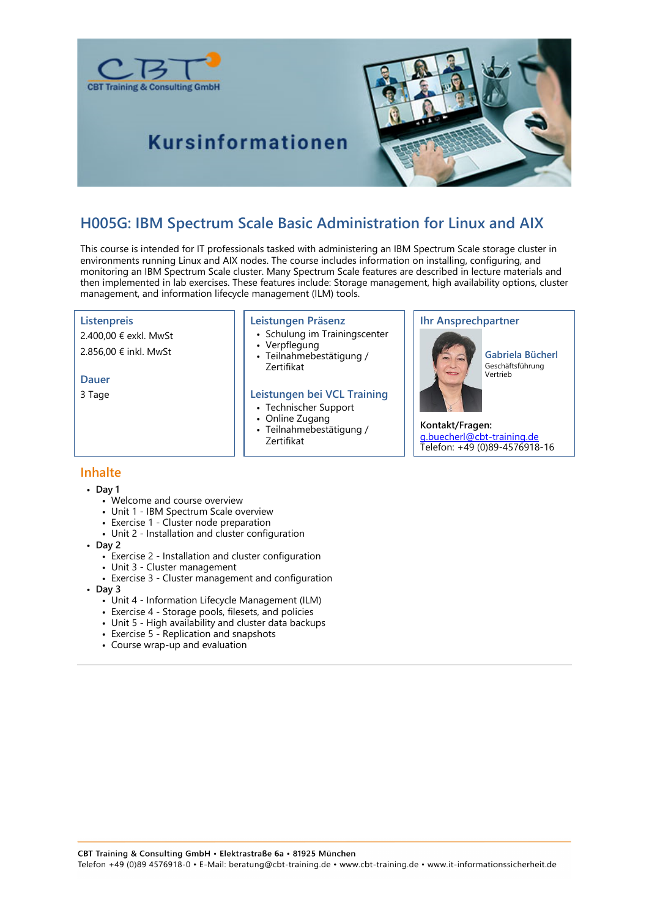



# **Kursinformationen**

# **H005G: IBM Spectrum Scale Basic Administration for Linux and AIX**

This course is intended for IT professionals tasked with administering an IBM Spectrum Scale storage cluster in environments running Linux and AIX nodes. The course includes information on installing, configuring, and monitoring an IBM Spectrum Scale cluster. Many Spectrum Scale features are described in lecture materials and then implemented in lab exercises. These features include: Storage management, high availability options, cluster management, and information lifecycle management (ILM) tools.

#### **Listenpreis**

2.400,00 € exkl. MwSt 2.856,00 € inkl. MwSt

**Dauer**

3 Tage

#### **Leistungen Präsenz**

- Schulung im Trainingscenter • Verpflegung
	-
- Teilnahmebestätigung / Zertifikat

#### **Leistungen bei VCL Training**

- Technischer Support
- Online Zugang
- Teilnahmebestätigung / Zertifikat

### **Ihr Ansprechpartner**



**Gabriela Bücherl** Geschäftsführung Vertrieb

#### **Kontakt/Fragen:** g.buecherl@cbt-training.de Telefon: +49 (0)89-4576918-16

# **Inhalte**

- **Day 1**
	- Welcome and course overview
	- Unit 1 IBM Spectrum Scale overview
	- Exercise 1 Cluster node preparation
	- Unit 2 Installation and cluster configuration
- **Day 2**
	- Exercise 2 Installation and cluster configuration
	- Unit 3 Cluster management
	- Exercise 3 Cluster management and configuration
- **Day 3**
	- Unit 4 Information Lifecycle Management (ILM)
	- Exercise 4 Storage pools, filesets, and policies
	- Unit 5 High availability and cluster data backups
	- Exercise 5 Replication and snapshots
	- Course wrap-up and evaluation